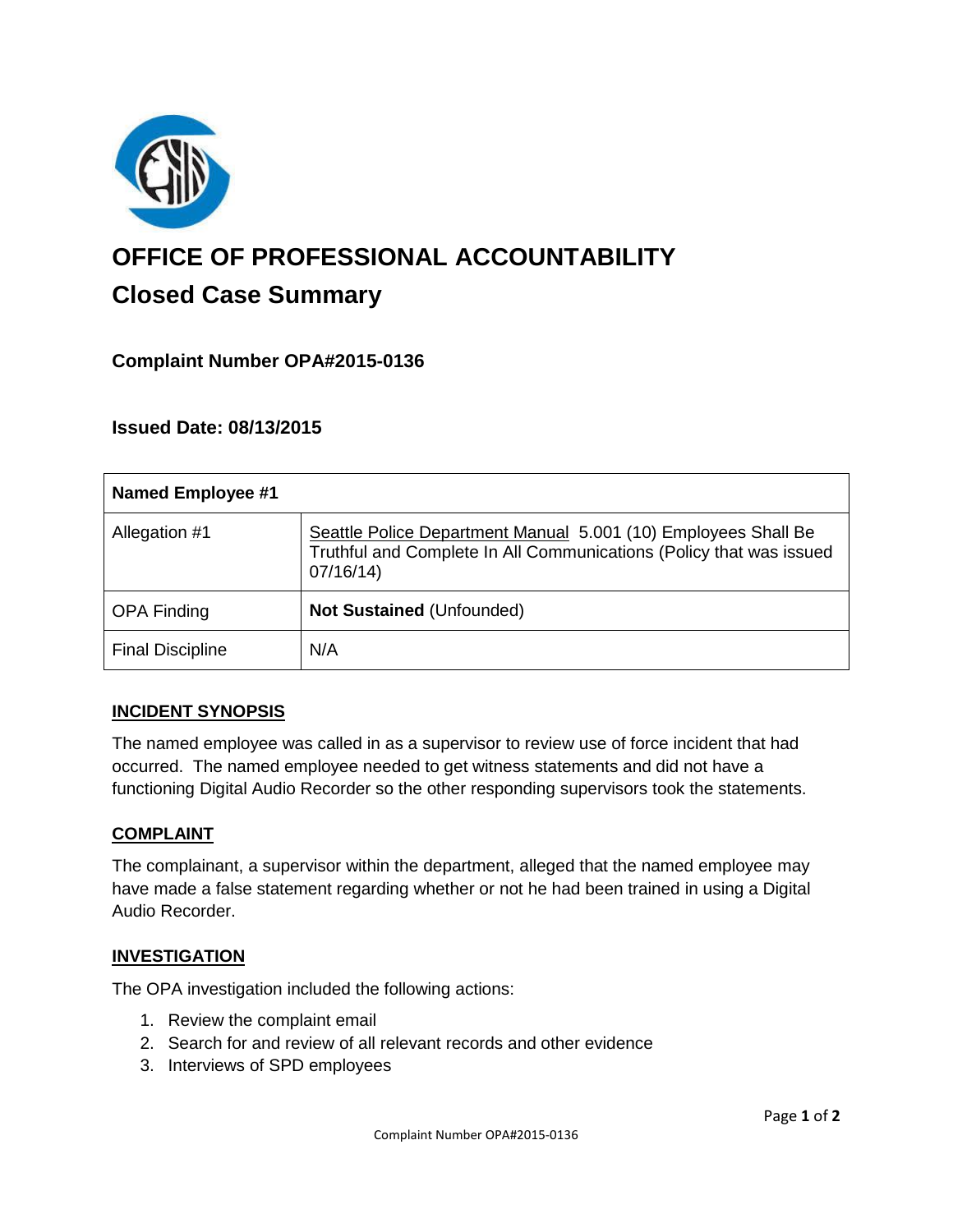

# **OFFICE OF PROFESSIONAL ACCOUNTABILITY Closed Case Summary**

# **Complaint Number OPA#2015-0136**

# **Issued Date: 08/13/2015**

| <b>Named Employee #1</b> |                                                                                                                                                   |
|--------------------------|---------------------------------------------------------------------------------------------------------------------------------------------------|
| Allegation #1            | Seattle Police Department Manual 5.001 (10) Employees Shall Be<br>Truthful and Complete In All Communications (Policy that was issued<br>07/16/14 |
| <b>OPA Finding</b>       | <b>Not Sustained (Unfounded)</b>                                                                                                                  |
| <b>Final Discipline</b>  | N/A                                                                                                                                               |

## **INCIDENT SYNOPSIS**

The named employee was called in as a supervisor to review use of force incident that had occurred. The named employee needed to get witness statements and did not have a functioning Digital Audio Recorder so the other responding supervisors took the statements.

#### **COMPLAINT**

The complainant, a supervisor within the department, alleged that the named employee may have made a false statement regarding whether or not he had been trained in using a Digital Audio Recorder.

## **INVESTIGATION**

The OPA investigation included the following actions:

- 1. Review the complaint email
- 2. Search for and review of all relevant records and other evidence
- 3. Interviews of SPD employees